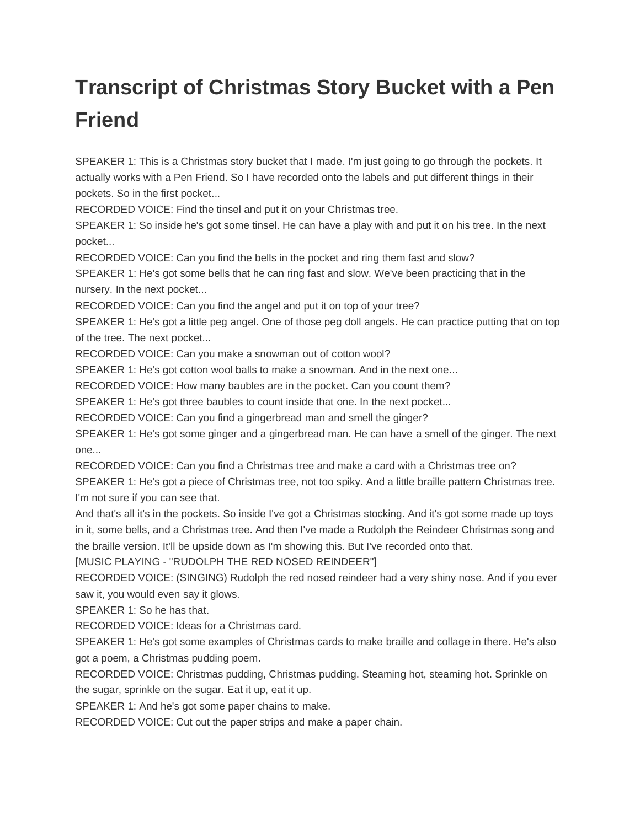## **Transcript of Christmas Story Bucket with a Pen Friend**

SPEAKER 1: This is a Christmas story bucket that I made. I'm just going to go through the pockets. It actually works with a Pen Friend. So I have recorded onto the labels and put different things in their pockets. So in the first pocket...

RECORDED VOICE: Find the tinsel and put it on your Christmas tree.

SPEAKER 1: So inside he's got some tinsel. He can have a play with and put it on his tree. In the next pocket...

RECORDED VOICE: Can you find the bells in the pocket and ring them fast and slow?

SPEAKER 1: He's got some bells that he can ring fast and slow. We've been practicing that in the nursery. In the next pocket...

RECORDED VOICE: Can you find the angel and put it on top of your tree?

SPEAKER 1: He's got a little peg angel. One of those peg doll angels. He can practice putting that on top of the tree. The next pocket...

RECORDED VOICE: Can you make a snowman out of cotton wool?

SPEAKER 1: He's got cotton wool balls to make a snowman. And in the next one...

RECORDED VOICE: How many baubles are in the pocket. Can you count them?

SPEAKER 1: He's got three baubles to count inside that one. In the next pocket...

RECORDED VOICE: Can you find a gingerbread man and smell the ginger?

SPEAKER 1: He's got some ginger and a gingerbread man. He can have a smell of the ginger. The next one...

RECORDED VOICE: Can you find a Christmas tree and make a card with a Christmas tree on?

SPEAKER 1: He's got a piece of Christmas tree, not too spiky. And a little braille pattern Christmas tree. I'm not sure if you can see that.

And that's all it's in the pockets. So inside I've got a Christmas stocking. And it's got some made up toys in it, some bells, and a Christmas tree. And then I've made a Rudolph the Reindeer Christmas song and the braille version. It'll be upside down as I'm showing this. But I've recorded onto that.

[MUSIC PLAYING - "RUDOLPH THE RED NOSED REINDEER"]

RECORDED VOICE: (SINGING) Rudolph the red nosed reindeer had a very shiny nose. And if you ever saw it, you would even say it glows.

SPEAKER 1: So he has that.

RECORDED VOICE: Ideas for a Christmas card.

SPEAKER 1: He's got some examples of Christmas cards to make braille and collage in there. He's also got a poem, a Christmas pudding poem.

RECORDED VOICE: Christmas pudding, Christmas pudding. Steaming hot, steaming hot. Sprinkle on the sugar, sprinkle on the sugar. Eat it up, eat it up.

SPEAKER 1: And he's got some paper chains to make.

RECORDED VOICE: Cut out the paper strips and make a paper chain.